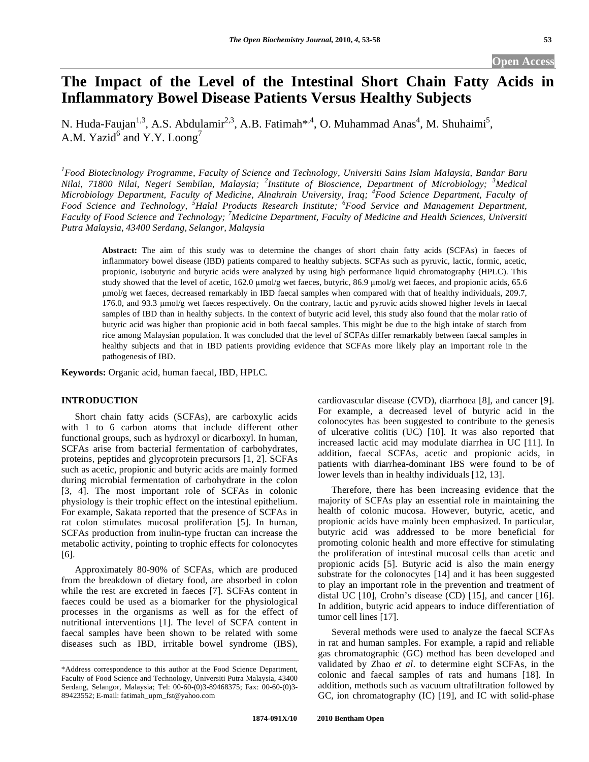# **The Impact of the Level of the Intestinal Short Chain Fatty Acids in Inflammatory Bowel Disease Patients Versus Healthy Subjects**

N. Huda-Faujan<sup>1,3</sup>, A.S. Abdulamir<sup>2,3</sup>, A.B. Fatimah<sup>\*,4</sup>, O. Muhammad Anas<sup>4</sup>, M. Shuhaimi<sup>5</sup>, A.M. Yazid<sup>6</sup> and Y.Y. Loong<sup>7</sup>

*1 Food Biotechnology Programme, Faculty of Science and Technology, Universiti Sains Islam Malaysia, Bandar Baru Nilai, 71800 Nilai, Negeri Sembilan, Malaysia; <sup>2</sup> Institute of Bioscience, Department of Microbiology; <sup>3</sup> Medical Microbiology Department, Faculty of Medicine, Alnahrain University, Iraq; <sup>4</sup> Food Science Department, Faculty of Food Science and Technology, <sup>5</sup> Halal Products Research Institute; <sup>6</sup> Food Service and Management Department, Faculty of Food Science and Technology; <sup>7</sup> Medicine Department, Faculty of Medicine and Health Sciences, Universiti Putra Malaysia, 43400 Serdang, Selangor, Malaysia* 

**Abstract:** The aim of this study was to determine the changes of short chain fatty acids (SCFAs) in faeces of inflammatory bowel disease (IBD) patients compared to healthy subjects. SCFAs such as pyruvic, lactic, formic, acetic, propionic, isobutyric and butyric acids were analyzed by using high performance liquid chromatography (HPLC). This study showed that the level of acetic, 162.0 µmol/g wet faeces, butyric, 86.9 µmol/g wet faeces, and propionic acids, 65.6 mol/g wet faeces, decreased remarkably in IBD faecal samples when compared with that of healthy individuals, 209.7, 176.0, and 93.3 mol/g wet faeces respectively. On the contrary, lactic and pyruvic acids showed higher levels in faecal samples of IBD than in healthy subjects. In the context of butyric acid level, this study also found that the molar ratio of butyric acid was higher than propionic acid in both faecal samples. This might be due to the high intake of starch from rice among Malaysian population. It was concluded that the level of SCFAs differ remarkably between faecal samples in healthy subjects and that in IBD patients providing evidence that SCFAs more likely play an important role in the pathogenesis of IBD.

**Keywords:** Organic acid, human faecal, IBD, HPLC.

## **INTRODUCTION**

 Short chain fatty acids (SCFAs), are carboxylic acids with 1 to 6 carbon atoms that include different other functional groups, such as hydroxyl or dicarboxyl. In human, SCFAs arise from bacterial fermentation of carbohydrates, proteins, peptides and glycoprotein precursors [1, 2]. SCFAs such as acetic, propionic and butyric acids are mainly formed during microbial fermentation of carbohydrate in the colon [3, 4]. The most important role of SCFAs in colonic physiology is their trophic effect on the intestinal epithelium. For example, Sakata reported that the presence of SCFAs in rat colon stimulates mucosal proliferation [5]. In human, SCFAs production from inulin-type fructan can increase the metabolic activity, pointing to trophic effects for colonocytes [6].

 Approximately 80-90% of SCFAs, which are produced from the breakdown of dietary food, are absorbed in colon while the rest are excreted in faeces [7]. SCFAs content in faeces could be used as a biomarker for the physiological processes in the organisms as well as for the effect of nutritional interventions [1]. The level of SCFA content in faecal samples have been shown to be related with some diseases such as IBD, irritable bowel syndrome (IBS), cardiovascular disease (CVD), diarrhoea [8], and cancer [9]. For example, a decreased level of butyric acid in the colonocytes has been suggested to contribute to the genesis of ulcerative colitis (UC) [10]. It was also reported that increased lactic acid may modulate diarrhea in UC [11]. In addition, faecal SCFAs, acetic and propionic acids, in patients with diarrhea-dominant IBS were found to be of lower levels than in healthy individuals [12, 13].

 Therefore, there has been increasing evidence that the majority of SCFAs play an essential role in maintaining the health of colonic mucosa. However, butyric, acetic, and propionic acids have mainly been emphasized. In particular, butyric acid was addressed to be more beneficial for promoting colonic health and more effective for stimulating the proliferation of intestinal mucosal cells than acetic and propionic acids [5]. Butyric acid is also the main energy substrate for the colonocytes [14] and it has been suggested to play an important role in the prevention and treatment of distal UC [10], Crohn's disease (CD) [15], and cancer [16]. In addition, butyric acid appears to induce differentiation of tumor cell lines [17].

 Several methods were used to analyze the faecal SCFAs in rat and human samples. For example, a rapid and reliable gas chromatographic (GC) method has been developed and validated by Zhao *et al*. to determine eight SCFAs, in the colonic and faecal samples of rats and humans [18]. In addition, methods such as vacuum ultrafiltration followed by GC, ion chromatography (IC) [19], and IC with solid-phase

<sup>\*</sup>Address correspondence to this author at the Food Science Department, Faculty of Food Science and Technology, Universiti Putra Malaysia, 43400 Serdang, Selangor, Malaysia; Tel: 00-60-(0)3-89468375; Fax: 00-60-(0)3- 89423552; E-mail: fatimah\_upm\_fst@yahoo.com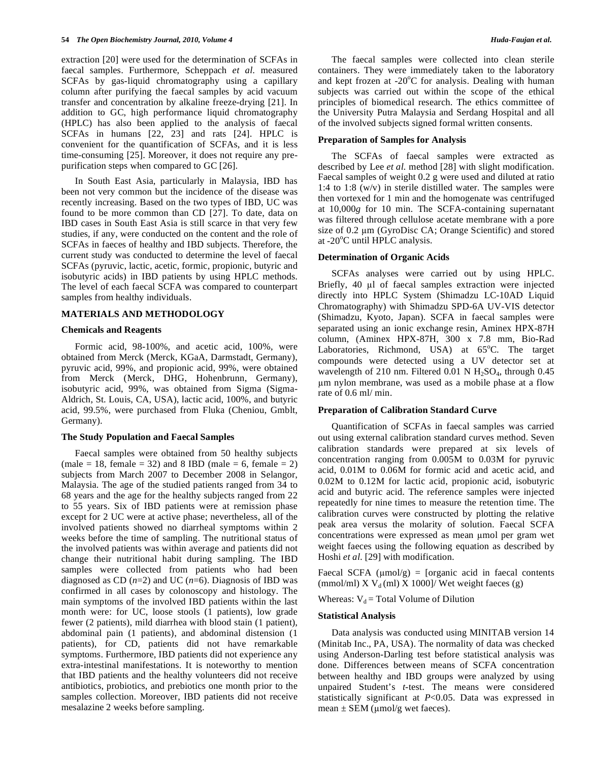extraction [20] were used for the determination of SCFAs in faecal samples. Furthermore, Scheppach *et al*. measured SCFAs by gas-liquid chromatography using a capillary column after purifying the faecal samples by acid vacuum transfer and concentration by alkaline freeze-drying [21]. In addition to GC, high performance liquid chromatography (HPLC) has also been applied to the analysis of faecal SCFAs in humans [22, 23] and rats [24]. HPLC is convenient for the quantification of SCFAs, and it is less time-consuming [25]. Moreover, it does not require any prepurification steps when compared to GC [26].

 In South East Asia, particularly in Malaysia, IBD has been not very common but the incidence of the disease was recently increasing. Based on the two types of IBD, UC was found to be more common than CD [27]. To date, data on IBD cases in South East Asia is still scarce in that very few studies, if any, were conducted on the content and the role of SCFAs in faeces of healthy and IBD subjects. Therefore, the current study was conducted to determine the level of faecal SCFAs (pyruvic, lactic, acetic, formic, propionic, butyric and isobutyric acids) in IBD patients by using HPLC methods. The level of each faecal SCFA was compared to counterpart samples from healthy individuals.

### **MATERIALS AND METHODOLOGY**

## **Chemicals and Reagents**

 Formic acid, 98-100%, and acetic acid, 100%, were obtained from Merck (Merck, KGaA, Darmstadt, Germany), pyruvic acid, 99%, and propionic acid, 99%, were obtained from Merck (Merck, DHG, Hohenbrunn, Germany), isobutyric acid, 99%, was obtained from Sigma (Sigma-Aldrich, St. Louis, CA, USA), lactic acid, 100%, and butyric acid, 99.5%, were purchased from Fluka (Cheniou, Gmblt, Germany).

## **The Study Population and Faecal Samples**

 Faecal samples were obtained from 50 healthy subjects (male = 18, female = 32) and 8 IBD (male = 6, female = 2) subjects from March 2007 to December 2008 in Selangor, Malaysia. The age of the studied patients ranged from 34 to 68 years and the age for the healthy subjects ranged from 22 to 55 years. Six of IBD patients were at remission phase except for 2 UC were at active phase; nevertheless, all of the involved patients showed no diarrheal symptoms within 2 weeks before the time of sampling. The nutritional status of the involved patients was within average and patients did not change their nutritional habit during sampling. The IBD samples were collected from patients who had been diagnosed as CD (*n*=2) and UC (*n*=6). Diagnosis of IBD was confirmed in all cases by colonoscopy and histology. The main symptoms of the involved IBD patients within the last month were: for UC, loose stools (1 patients), low grade fewer (2 patients), mild diarrhea with blood stain (1 patient), abdominal pain (1 patients), and abdominal distension (1 patients), for CD, patients did not have remarkable symptoms. Furthermore, IBD patients did not experience any extra-intestinal manifestations. It is noteworthy to mention that IBD patients and the healthy volunteers did not receive antibiotics, probiotics, and prebiotics one month prior to the samples collection. Moreover, IBD patients did not receive mesalazine 2 weeks before sampling.

 The faecal samples were collected into clean sterile containers. They were immediately taken to the laboratory and kept frozen at -20°C for analysis. Dealing with human subjects was carried out within the scope of the ethical principles of biomedical research. The ethics committee of the University Putra Malaysia and Serdang Hospital and all of the involved subjects signed formal written consents.

## **Preparation of Samples for Analysis**

 The SCFAs of faecal samples were extracted as described by Lee *et al.* method [28] with slight modification. Faecal samples of weight 0.2 g were used and diluted at ratio 1:4 to 1:8 (w/v) in sterile distilled water. The samples were then vortexed for 1 min and the homogenate was centrifuged at 10,000*g* for 10 min. The SCFA-containing supernatant was filtered through cellulose acetate membrane with a pore size of 0.2  $\mu$ m (GyroDisc CA; Orange Scientific) and stored at -20°C until HPLC analysis.

## **Determination of Organic Acids**

 SCFAs analyses were carried out by using HPLC. Briefly, 40 µl of faecal samples extraction were injected directly into HPLC System (Shimadzu LC-10AD Liquid Chromatography) with Shimadzu SPD-6A UV-VIS detector (Shimadzu, Kyoto, Japan). SCFA in faecal samples were separated using an ionic exchange resin, Aminex HPX-87H column, (Aminex HPX-87H, 300 x 7.8 mm, Bio-Rad Laboratories, Richmond, USA) at  $65^{\circ}$ C. The target compounds were detected using a UV detector set at wavelength of 210 nm. Filtered 0.01 N  $H_2SO_4$ , through 0.45 m nylon membrane, was used as a mobile phase at a flow rate of 0.6 ml/ min.

# **Preparation of Calibration Standard Curve**

 Quantification of SCFAs in faecal samples was carried out using external calibration standard curves method. Seven calibration standards were prepared at six levels of concentration ranging from 0.005M to 0.03M for pyruvic acid, 0.01M to 0.06M for formic acid and acetic acid, and 0.02M to 0.12M for lactic acid, propionic acid, isobutyric acid and butyric acid. The reference samples were injected repeatedly for nine times to measure the retention time. The calibration curves were constructed by plotting the relative peak area versus the molarity of solution. Faecal SCFA concentrations were expressed as mean µmol per gram wet weight faeces using the following equation as described by Hoshi *et al*. [29] with modification.

Faecal SCFA  $(\mu \text{mol/g}) =$  [organic acid in faecal contents (mmol/ml) X  $V<sub>d</sub>$  (ml) X 1000]/ Wet weight faeces (g)

Whereas:  $V_d$  = Total Volume of Dilution

#### **Statistical Analysis**

 Data analysis was conducted using MINITAB version 14 (Minitab Inc., PA, USA). The normality of data was checked using Anderson-Darling test before statistical analysis was done. Differences between means of SCFA concentration between healthy and IBD groups were analyzed by using unpaired Student's *t*-test. The means were considered statistically significant at *P*<0.05. Data was expressed in mean  $\pm$  SEM (µmol/g wet faeces).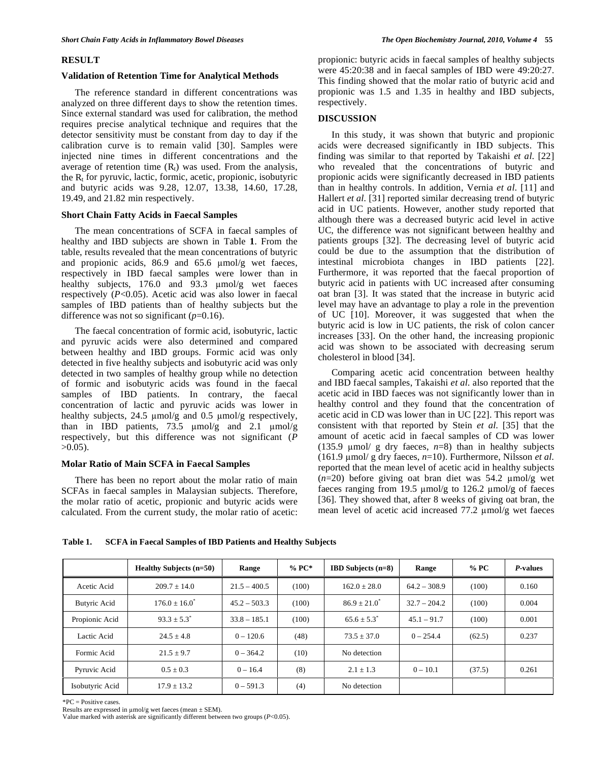## **RESULT**

### **Validation of Retention Time for Analytical Methods**

 The reference standard in different concentrations was analyzed on three different days to show the retention times. Since external standard was used for calibration, the method requires precise analytical technique and requires that the detector sensitivity must be constant from day to day if the calibration curve is to remain valid [30]. Samples were injected nine times in different concentrations and the average of retention time  $(R_t)$  was used. From the analysis, the  $R_t$  for pyruvic, lactic, formic, acetic, propionic, isobutyric and butyric acids was 9.28, 12.07, 13.38, 14.60, 17.28, 19.49, and 21.82 min respectively.

## **Short Chain Fatty Acids in Faecal Samples**

 The mean concentrations of SCFA in faecal samples of healthy and IBD subjects are shown in Table **1**. From the table, results revealed that the mean concentrations of butyric and propionic acids,  $86.9$  and  $65.6 \mu mol/g$  wet faeces, respectively in IBD faecal samples were lower than in healthy subjects, 176.0 and 93.3 µmol/g wet faeces respectively (*P*<0.05). Acetic acid was also lower in faecal samples of IBD patients than of healthy subjects but the difference was not so significant (*p*=0.16).

 The faecal concentration of formic acid, isobutyric, lactic and pyruvic acids were also determined and compared between healthy and IBD groups. Formic acid was only detected in five healthy subjects and isobutyric acid was only detected in two samples of healthy group while no detection of formic and isobutyric acids was found in the faecal samples of IBD patients. In contrary, the faecal concentration of lactic and pyruvic acids was lower in healthy subjects,  $24.5 \mu \text{mol/g}$  and  $0.5 \mu \text{mol/g}$  respectively, than in IBD patients,  $73.5 \text{ \mu} \text{mol/g}$  and  $2.1 \text{ \mu} \text{mol/g}$ respectively, but this difference was not significant (*P*   $>0.05$ ).

# **Molar Ratio of Main SCFA in Faecal Samples**

 There has been no report about the molar ratio of main SCFAs in faecal samples in Malaysian subjects. Therefore, the molar ratio of acetic, propionic and butyric acids were calculated. From the current study, the molar ratio of acetic: propionic: butyric acids in faecal samples of healthy subjects were 45:20:38 and in faecal samples of IBD were 49:20:27. This finding showed that the molar ratio of butyric acid and propionic was 1.5 and 1.35 in healthy and IBD subjects, respectively.

# **DISCUSSION**

 In this study, it was shown that butyric and propionic acids were decreased significantly in IBD subjects. This finding was similar to that reported by Takaishi *et al*. [22] who revealed that the concentrations of butyric and propionic acids were significantly decreased in IBD patients than in healthy controls. In addition, Vernia *et al*. [11] and Hallert *et al.* [31] reported similar decreasing trend of butyric acid in UC patients. However, another study reported that although there was a decreased butyric acid level in active UC, the difference was not significant between healthy and patients groups [32]. The decreasing level of butyric acid could be due to the assumption that the distribution of intestinal microbiota changes in IBD patients [22]. Furthermore, it was reported that the faecal proportion of butyric acid in patients with UC increased after consuming oat bran [3]. It was stated that the increase in butyric acid level may have an advantage to play a role in the prevention of UC [10]. Moreover, it was suggested that when the butyric acid is low in UC patients, the risk of colon cancer increases [33]. On the other hand, the increasing propionic acid was shown to be associated with decreasing serum cholesterol in blood [34].

 Comparing acetic acid concentration between healthy and IBD faecal samples, Takaishi *et al.* also reported that the acetic acid in IBD faeces was not significantly lower than in healthy control and they found that the concentration of acetic acid in CD was lower than in UC [22]. This report was consistent with that reported by Stein *et al*. [35] that the amount of acetic acid in faecal samples of CD was lower (135.9  $\mu$ mol/ g dry faeces, *n*=8) than in healthy subjects (161.9 umol/ g dry faeces,  $n=10$ ). Furthermore, Nilsson *et al.* reported that the mean level of acetic acid in healthy subjects  $(n=20)$  before giving oat bran diet was 54.2  $\mu$ mol/g wet faeces ranging from 19.5  $\mu$ mol/g to 126.2  $\mu$ mol/g of faeces [36]. They showed that, after 8 weeks of giving oat bran, the mean level of acetic acid increased 77.2  $\mu$ mol/g wet faeces

| Table 1.<br><b>SCFA</b> in Faecal Samples of IBD Patients and Healthy Subjects |  |
|--------------------------------------------------------------------------------|--|
|--------------------------------------------------------------------------------|--|

|                     | <b>Healthy Subjects <math>(n=50)</math></b> | Range          | $\%$ PC* | <b>IBD</b> Subjects $(n=8)$ | Range          | $%$ PC | <i>P</i> -values |
|---------------------|---------------------------------------------|----------------|----------|-----------------------------|----------------|--------|------------------|
| Acetic Acid         | $209.7 + 14.0$                              | $21.5 - 400.5$ | (100)    | $162.0 \pm 28.0$            | $64.2 - 308.9$ | (100)  | 0.160            |
| <b>Butyric Acid</b> | $176.0 + 16.0^{\circ}$                      | $45.2 - 503.3$ | (100)    | $86.9 + 21.0$               | $32.7 - 204.2$ | (100)  | 0.004            |
| Propionic Acid      | $93.3 + 5.3$                                | $33.8 - 185.1$ | (100)    | $65.6 + 5.3$                | $45.1 - 91.7$  | (100)  | 0.001            |
| Lactic Acid         | $24.5 + 4.8$                                | $0 - 120.6$    | (48)     | $73.5 \pm 37.0$             | $0 - 254.4$    | (62.5) | 0.237            |
| Formic Acid         | $21.5 + 9.7$                                | $0 - 364.2$    | (10)     | No detection                |                |        |                  |
| Pyruvic Acid        | $0.5 + 0.3$                                 | $0 - 16.4$     | (8)      | $2.1 + 1.3$                 | $0 - 10.1$     | (37.5) | 0.261            |
| Isobutyric Acid     | $17.9 + 13.2$                               | $0 - 591.3$    | (4)      | No detection                |                |        |                  |

 $*PC = Positive cases$ 

Results are expressed in  $\mu$ mol/g wet faeces (mean  $\pm$  SEM).

Value marked with asterisk are significantly different between two groups (*P*<0.05).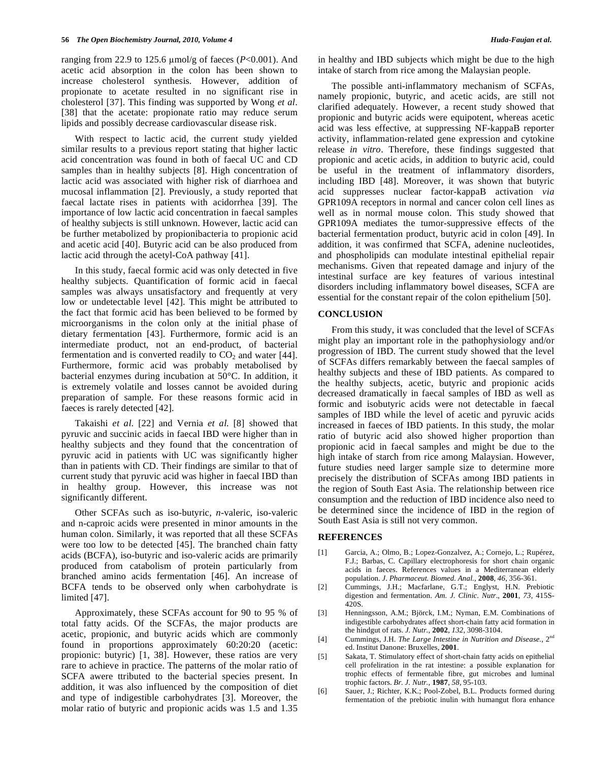ranging from 22.9 to 125.6  $\mu$ mol/g of faeces ( $P<0.001$ ). And acetic acid absorption in the colon has been shown to increase cholesterol synthesis. However, addition of propionate to acetate resulted in no significant rise in cholesterol [37]. This finding was supported by Wong *et al*. [38] that the acetate: propionate ratio may reduce serum lipids and possibly decrease cardiovascular disease risk.

 With respect to lactic acid, the current study yielded similar results to a previous report stating that higher lactic acid concentration was found in both of faecal UC and CD samples than in healthy subjects [8]. High concentration of lactic acid was associated with higher risk of diarrhoea and mucosal inflammation [2]. Previously, a study reported that faecal lactate rises in patients with acidorrhea [39]. The importance of low lactic acid concentration in faecal samples of healthy subjects is still unknown. However, lactic acid can be further metabolized by propionibacteria to propionic acid and acetic acid [40]. Butyric acid can be also produced from lactic acid through the acetyl-CoA pathway [41].

 In this study, faecal formic acid was only detected in five healthy subjects. Quantification of formic acid in faecal samples was always unsatisfactory and frequently at very low or undetectable level [42]. This might be attributed to the fact that formic acid has been believed to be formed by microorganisms in the colon only at the initial phase of dietary fermentation [43]. Furthermore, formic acid is an intermediate product, not an end-product, of bacterial fermentation and is converted readily to  $CO<sub>2</sub>$  and water [44]. Furthermore, formic acid was probably metabolised by bacterial enzymes during incubation at 50°C. In addition, it is extremely volatile and losses cannot be avoided during preparation of sample. For these reasons formic acid in faeces is rarely detected [42].

 Takaishi *et al*. [22] and Vernia *et al.* [8] showed that pyruvic and succinic acids in faecal IBD were higher than in healthy subjects and they found that the concentration of pyruvic acid in patients with UC was significantly higher than in patients with CD. Their findings are similar to that of current study that pyruvic acid was higher in faecal IBD than in healthy group. However, this increase was not significantly different.

 Other SCFAs such as iso-butyric, *n*-valeric, iso-valeric and n-caproic acids were presented in minor amounts in the human colon. Similarly, it was reported that all these SCFAs were too low to be detected [45]. The branched chain fatty acids (BCFA), iso-butyric and iso-valeric acids are primarily produced from catabolism of protein particularly from branched amino acids fermentation [46]. An increase of BCFA tends to be observed only when carbohydrate is limited [47].

 Approximately, these SCFAs account for 90 to 95 % of total fatty acids. Of the SCFAs, the major products are acetic, propionic, and butyric acids which are commonly found in proportions approximately 60:20:20 (acetic: propionic: butyric) [1, 38]. However, these ratios are very rare to achieve in practice. The patterns of the molar ratio of SCFA awere ttributed to the bacterial species present. In addition, it was also influenced by the composition of diet and type of indigestible carbohydrates [3]. Moreover, the molar ratio of butyric and propionic acids was 1.5 and 1.35

in healthy and IBD subjects which might be due to the high intake of starch from rice among the Malaysian people.

 The possible anti-inflammatory mechanism of SCFAs, namely propionic, butyric, and acetic acids, are still not clarified adequately. However, a recent study showed that propionic and butyric acids were equipotent, whereas acetic acid was less effective, at suppressing NF-kappaB reporter activity, inflammation-related gene expression and cytokine release *in vitro*. Therefore, these findings suggested that propionic and acetic acids, in addition to butyric acid, could be useful in the treatment of inflammatory disorders, including IBD [48]. Moreover, it was shown that butyric acid suppresses nuclear factor-kappaB activation *via*  GPR109A receptors in normal and cancer colon cell lines as well as in normal mouse colon. This study showed that GPR109A mediates the tumor-suppressive effects of the bacterial fermentation product, butyric acid in colon [49]. In addition, it was confirmed that SCFA, adenine nucleotides, and phospholipids can modulate intestinal epithelial repair mechanisms. Given that repeated damage and injury of the intestinal surface are key features of various intestinal disorders including inflammatory bowel diseases, SCFA are essential for the constant repair of the colon epithelium [50].

#### **CONCLUSION**

 From this study, it was concluded that the level of SCFAs might play an important role in the pathophysiology and/or progression of IBD. The current study showed that the level of SCFAs differs remarkably between the faecal samples of healthy subjects and these of IBD patients. As compared to the healthy subjects, acetic, butyric and propionic acids decreased dramatically in faecal samples of IBD as well as formic and isobutyric acids were not detectable in faecal samples of IBD while the level of acetic and pyruvic acids increased in faeces of IBD patients. In this study, the molar ratio of butyric acid also showed higher proportion than propionic acid in faecal samples and might be due to the high intake of starch from rice among Malaysian. However, future studies need larger sample size to determine more precisely the distribution of SCFAs among IBD patients in the region of South East Asia. The relationship between rice consumption and the reduction of IBD incidence also need to be determined since the incidence of IBD in the region of South East Asia is still not very common.

#### **REFERENCES**

- [1] Garcia, A.; Olmo, B.; Lopez-Gonzalvez, A.; Cornejo, L.; Rupérez, F.J.; Barbas, C. Capillary electrophoresis for short chain organic acids in faeces. References values in a Mediterranean elderly population. *J. Pharmaceut. Biomed. Anal.,* **2008**, *46*, 356-361.
- [2] Cummings, J.H.; Macfarlane, G.T.; Englyst, H.N. Prebiotic digestion and fermentation. *Am. J. Clinic. Nutr*., **2001**, *73,* 415S-420S.
- [3] Henningsson, A.M.; Björck, I.M.; Nyman, E.M. Combinations of indigestible carbohydrates affect short-chain fatty acid formation in the hindgut of rats. *J. Nutr.*, **2002**, *132*, 3098-3104.
- [4] Cummings, J.H. *The Large Intestine in Nutrition and Disease.,* 2nd ed. Institut Danone: Bruxelles, **2001**.
- [5] Sakata, T. Stimulatory effect of short-chain fatty acids on epithelial cell profeliration in the rat intestine: a possible explanation for trophic effects of fermentable fibre, gut microbes and luminal trophic factors. *Br. J. Nutr.*, **1987**, *58*, 95-103.
- [6] Sauer, J.; Richter, K.K.; Pool-Zobel, B.L. Products formed during fermentation of the prebiotic inulin with humangut flora enhance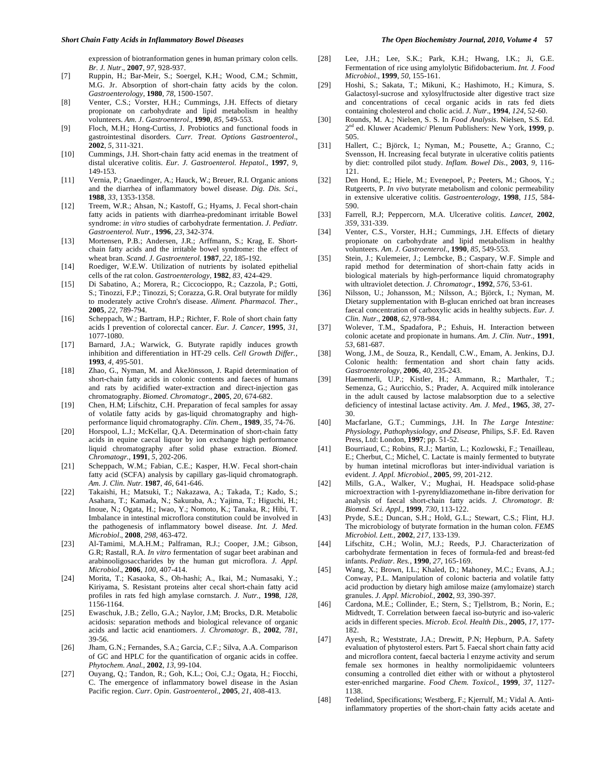expression of biotranformation genes in human primary colon cells. *Br. J. Nutr*., **2007**, *97*, 928-937.

- [7] Ruppin, H.; Bar-Meir, S.; Soergel, K.H.; Wood, C.M.; Schmitt, M.G. Jr. Absorption of short-chain fatty acids by the colon. *Gastroenterology*, **1980**, *78*, 1500-1507.
- [8] Venter, C.S.; Vorster, H.H.; Cummings, J.H. Effects of dietary propionate on carbohydrate and lipid metabolism in healthy volunteers. *Am*. *J*. *Gastroenterol*., **1990**, *85*, 549-553.
- [9] Floch, M.H.; Hong-Curtiss, J. Probiotics and functional foods in gastrointestinal disorders. *Curr. Treat. Options Gastroenterol*., **2002**, *5,* 311-321.
- [10] Cummings, J.H. Short-chain fatty acid enemas in the treatment of distal ulcerative colitis. *Eur. J. Gastroenterol. Hepatol*., **1997**, *9*, 149-153.
- [11] Vernia, P.; Gnaedinger, A.; Hauck, W.; Breuer, R.I. Organic anions and the diarrhea of inflammatory bowel disease. *Dig. Dis. Sci*., **1988**, *33*, 1353-1358.
- [12] Treem, W.R.; Ahsan, N.; Kastoff, G.; Hyams, J. Fecal short-chain fatty acids in patients with diarrhea-predominant irritable Bowel syndrome: *in vitro* studies of carbohydrate fermentation. *J. Pediatr. Gastroenterol. Nutr.,* **1996**, *23*, 342-374.
- [13] Mortensen, P.B.; Andersen, J.R.; Arffmann, S.; Krag, E. Shortchain fatty acids and the irritable bowel syndrome: the effect of wheat bran. *Scand. J. Gastroenterol*. **1987**, *22*, 185-192.
- [14] Roediger, W.E.W. Utilization of nutrients by isolated epithelial cells of the rat colon. *Gastroenterology*, **1982**, *83*, 424-429.
- [15] Di Sabatino, A.; Morera, R.; Ciccocioppo, R.; Cazzola, P.; Gotti, S.; Tinozzi, F.P.; Tinozzi, S; Corazza, G.R. Oral butyrate for mildly to moderately active Crohn's disease. *Aliment. Pharmacol. Ther.*, **2005**, *22*, 789-794.
- [16] Scheppach, W.; Bartram, H.P.; Richter, F. Role of short chain fatty acids I prevention of colorectal cancer. *Eur. J. Cancer,* **1995**, *31*, 1077-1080.
- [17] Barnard, J.A.; Warwick, G. Butyrate rapidly induces growth inhibition and differentiation in HT-29 cells. *Cell Growth Differ.*, **1993**, *4*, 495-501.
- [18] Zhao, G., Nyman, M. and ÅkeJönsson, J. Rapid determination of short-chain fatty acids in colonic contents and faeces of humans and rats by acidified water-extraction and direct-injection gas chromatography. *Biomed. Chromatogr*., **2005**, *20*, 674-682.
- [19] Chen, H.M; Lifschitz, C.H. Preparation of fecal samples for assay of volatile fatty acids by gas-liquid chromatography and highperformance liquid chromatography. *Clin. Chem*., **1989**, *35*, 74-76.
- [20] Horspool, L.J.; McKellar, Q.A. Determination of short-chain fatty acids in equine caecal liquor by ion exchange high performance liquid chromatography after solid phase extraction. *Biomed. Chromatogr.,* **1991**, *5*, 202-206.
- [21] Scheppach, W.M.; Fabian, C.E.; Kasper, H.W. Fecal short-chain fatty acid (SCFA) analysis by capillary gas-liquid chromatograph. *Am. J. Clin. Nutr*. **1987**, *46*, 641-646.
- [22] Takaishi, H.; Matsuki, T.; Nakazawa, A.; Takada, T.; Kado, S.; Asahara, T.; Kamada, N.; Sakuraba, A.; Yajima, T.; Higuchi, H.; Inoue, N.; Ogata, H.; Iwao, Y.; Nomoto, K.; Tanaka, R.; Hibi, T. Imbalance in intestinal microflora constitution could be involved in the pathogenesis of inflammatory bowel disease. *Int. J. Med. Microbiol*., **2008**, *298*, 463-472.
- [23] Al-Tamimi, M.A.H.M.; Palframan, R.J.; Cooper, J.M.; Gibson, G.R; Rastall, R.A. *In vitro* fermentation of sugar beet arabinan and arabinooligosaccharides by the human gut microflora. *J. Appl. Microbiol*., **2006**, *100*, 407-414.
- [24] Morita, T.; Kasaoka, S., Oh-hashi; A., Ikai, M.; Numasaki, Y.; Kiriyama, S. Resistant proteins alter cecal short-chain fatty acid profiles in rats fed high amylase cornstarch. *J. Nutr.,* **1998**, *128*, 1156-1164.
- [25] Ewaschuk, J.B.; Zello, G.A.; Naylor, J.M; Brocks, D.R. Metabolic acidosis: separation methods and biological relevance of organic acids and lactic acid enantiomers. *J. Chromatogr. B*., **2002**, *781,* 39-56.
- [26] Jham, G.N.; Fernandes, S.A.; Garcia, C.F.; Silva, A.A. Comparison of GC and HPLC for the quantification of organic acids in coffee. *Phytochem. Anal.*, **2002**, *13*, 99-104.
- [27] Ouyang, Q.; Tandon, R.; Goh, K.L.; Ooi, C.J.; Ogata, H.; Fiocchi, C. The emergence of inflammatory bowel disease in the Asian Pacific region. *Curr*. *Opin*. *Gastroenterol.,* **2005**, *21*, 408-413.
- [28] Lee, J.H.; Lee, S.K.; Park, K.H.; Hwang, I.K.; Ji, G.E. Fermentation of rice using amylolytic Bifidobacterium. *Int. J. Food Microbiol*., **1999**, *50*, 155-161.
- [29] Hoshi, S.; Sakata, T.; Mikuni, K.; Hashimoto, H.; Kimura, S. Galactosyl-sucrose and xylosylfructoside alter digestive tract size and concentrations of cecal organic acids in rats fed diets containing cholesterol and cholic acid. *J. Nutr*., **1994**, *124*, 52-60.
- [30] Rounds, M. A.; Nielsen, S. S. In *Food Analysis*. Nielsen, S.S. Ed. 2nd ed. Kluwer Academic/ Plenum Publishers: New York, **1999**, p. 505.
- [31] Hallert, C.; Björck, I.; Nyman, M.; Pousette, A.; Granno, C.; Svensson, H. Increasing fecal butyrate in ulcerative colitis patients by diet: controlled pilot study. *Inflam. Bowel Dis*., **2003**, *9*, 116- 121.
- [32] Den Hond, E.; Hiele, M.; Evenepoel, P.; Peeters, M.; Ghoos, Y.; Rutgeerts, P. *In vivo* butyrate metabolism and colonic permeability in extensive ulcerative colitis. *Gastroenterology*, **1998**, *115*, 584- 590.
- [33] Farrell, R.J; Peppercorn, M.A. Ulcerative colitis. *Lancet*, **2002**, *359*, 331-339.
- [34] Venter, C.S., Vorster, H.H.; Cummings, J.H. Effects of dietary propionate on carbohydrate and lipid metabolism in healthy volunteers. *Am*. *J*. *Gastroenterol*., **1990**, *85*, 549-553.
- [35] Stein, J.; Kulemeier, J.; Lembcke, B.; Caspary, W.F. Simple and rapid method for determination of short-chain fatty acids in biological materials by high-performance liquid chromatography with ultraviolet detection*. J. Chromatogr*.*,* **1992**, *576*, 53-61.
- [36] Nilsson, U.; Johansson, M.; Nilsson, A.; Björck, I.; Nyman, M. Dietary supplementation with B-glucan enriched oat bran increases faecal concentration of carboxylic acids in healthy subjects. *Eur. J. Clin. Nutr*., **2008**, *62*, 978-984.
- [37] Wolever, T.M., Spadafora, P.; Eshuis, H. Interaction between colonic acetate and propionate in humans. *Am. J. Clin. Nutr*., **1991**, *53*, 681-687.
- [38] Wong, J.M., de Souza, R., Kendall, C.W., Emam, A. Jenkins, D.J. Colonic health: fermentation and short chain fatty acids. *Gastroenterology*, **2006**, *40*, 235-243.
- [39] Haemmerli, U.P.; Kistler, H.; Ammann, R.; Marthaler, T.; Semenza, G.; Auricchio, S.; Prader, A. Acquired milk intolerance in the adult caused by lactose malabsorption due to a selective deficiency of intestinal lactase activity. *Am. J. Med.*, **1965**, *38*, 27- 30.
- [40] Macfarlane, G.T.; Cummings, J.H. In *The Large Intestine: Physiology, Pathophysiology, and Disease,* Philips, S.F. Ed*.* Raven Press, Ltd: London, **1997**; pp. 51-52.
- [41] Bourriaud, C.; Robins, R.J.; Martin, L.; Kozlowski, F.; Tenailleau, E.; Cherbut, C.; Michel, C. Lactate is mainly fermented to butyrate by human intetinal microfloras but inter-individual variation is evident. *J. Appl. Microbiol.,* **2005***, 99*, 201-212.
- [42] Mills, G.A., Walker, V.; Mughai, H. Headspace solid-phase microextraction with 1-pyrenyldiazomethane in-fibre derivation for analysis of faecal short-chain fatty acids. *J. Chromatogr. B: Biomed. Sci. Appl.,* **1999**, *730*, 113-122.
- [43] Pryde, S.E.; Duncan, S.H.; Hold, G.L.; Stewart, C.S.; Flint, H.J. The microbiology of butyrate formation in the human colon. *FEMS Microbiol. Lett.,* **2002**, *217*, 133-139.
- [44] Lifschitz, C.H.; Wolin, M.J.; Reeds, P.J. Characterization of carbohydrate fermentation in feces of formula-fed and breast-fed infants. *Pediatr. Res.,* **1990**, *27*, 165-169.
- [45] Wang, X.; Brown, I.L.; Khaled, D.; Mahoney, M.C.; Evans, A.J.; Conway, P.L. Manipulation of colonic bacteria and volatile fatty acid production by dietary high amilose maize (amylomaize) starch granules. *J. Appl. Microbiol.,* **2002**, *93*, 390-397.
- [46] Cardona, M.E.; Collinder, E.; Stern, S.; Tjellstrom, B.; Norin, E.; Midtvedt, T. Correlation between faecal iso-butyric and iso-valeric acids in different species. *Microb*. *Ecol. Health Dis.*, **2005**, *17*, 177- 182.
- [47] Ayesh, R.; Weststrate, J.A.; Drewitt, P.N; Hepburn, P.A. Safety evaluation of phytosterol esters. Part 5. Faecal short chain fatty acid and microflora content, faecal bacteria l enzyme activity and serum female sex hormones in healthy normolipidaemic volunteers consuming a controlled diet either with or without a phytosterol ester-enriched margarine. *Food Chem. Toxicol.*, **1999**, *37*, 1127- 1138.
- [48] Tedelind, Specifications; Westberg, F.; Kjerrulf, M.; Vidal A. Antiinflammatory properties of the short-chain fatty acids acetate and